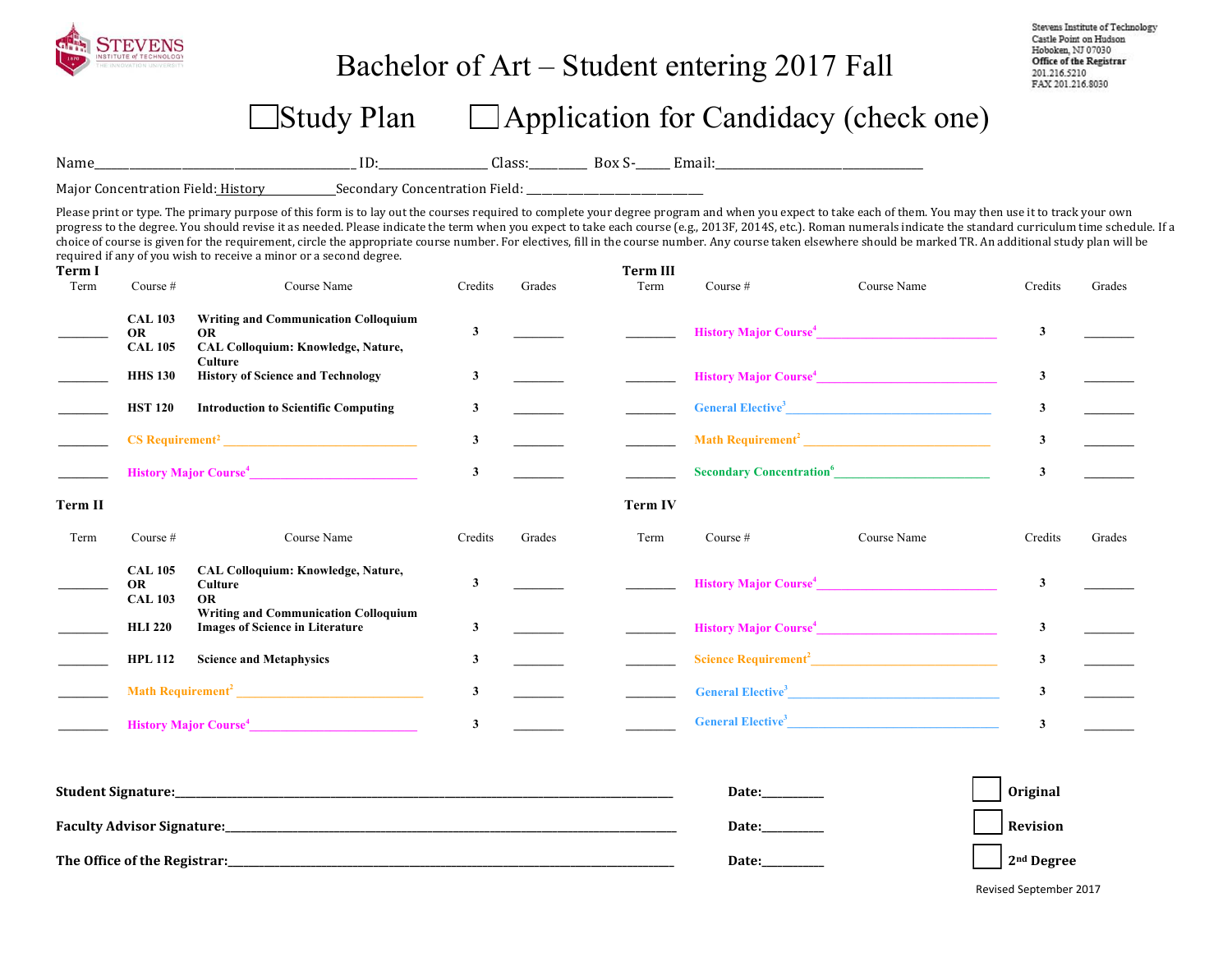

## Bachelor of Art – Student entering 2017 Fall

Stevens Institute of Technology Castle Point on Hudson Hoboken, NJ 07030 Office of the Registrar 201.216.5210 FAX 201.216.8030

## $\Box$ Study Plan  $\Box$  Application for Candidacy (check one)

Name\_\_\_\_\_\_\_\_\_\_\_\_\_\_\_\_\_\_\_\_\_\_\_\_\_\_\_\_\_\_\_\_\_\_\_\_\_\_\_\_\_\_\_\_\_ ID:\_\_\_\_\_\_\_\_\_\_\_\_\_\_\_\_\_\_\_ Class:\_\_\_\_\_\_\_\_\_\_ Box S-\_\_\_\_\_\_ Email:\_\_\_\_\_\_\_\_\_\_\_\_\_\_\_\_\_\_\_\_\_\_\_\_\_\_\_\_\_\_\_\_\_\_\_\_ 

Major Concentration Field: History Secondary Concentration Field:

Please print or type. The primary purpose of this form is to lay out the courses required to complete your degree program and when you expect to take each of them. You may then use it to track your own progress to the degree. You should revise it as needed. Please indicate the term when you expect to take each course (e.g., 2013F, 2014S, etc.). Roman numerals indicate the standard curriculum time schedule. If a choice of course is given for the requirement, circle the appropriate course number. For electives, fill in the course number. Any course taken elsewhere should be marked TR. An additional study plan will be required if any of you wish to receive a minor or a second degree.

| Term I<br>Term | Course #                                      | Course Name                                                                              | Credits      | Grades | <b>Term III</b><br>Term | Course #   | Course Name                                                                                                                                                                                                                              | Credits      | Grades |
|----------------|-----------------------------------------------|------------------------------------------------------------------------------------------|--------------|--------|-------------------------|------------|------------------------------------------------------------------------------------------------------------------------------------------------------------------------------------------------------------------------------------------|--------------|--------|
|                | <b>CAL 103</b><br><b>OR</b><br><b>CAL 105</b> | <b>Writing and Communication Colloquium</b><br>OR.<br>CAL Colloquium: Knowledge, Nature, | $\mathbf{3}$ |        |                         |            | <b>History Major Course<sup>4</sup></b>                                                                                                                                                                                                  | $\mathbf{3}$ |        |
|                | <b>HHS 130</b>                                | <b>Culture</b><br><b>History of Science and Technology</b>                               | 3            |        |                         |            | History Major Course <sup>4</sup>                                                                                                                                                                                                        | $\mathbf{3}$ |        |
|                | <b>HST 120</b>                                | <b>Introduction to Scientific Computing</b>                                              | 3            |        |                         |            | General Elective <sup>3</sup>                                                                                                                                                                                                            | $\mathbf{3}$ |        |
|                |                                               |                                                                                          | $\mathbf{3}$ |        |                         |            |                                                                                                                                                                                                                                          | $\mathbf{3}$ |        |
|                |                                               | History Major Course <sup>4</sup>                                                        | $\mathbf{3}$ |        |                         |            | Secondary Concentration <sup>6</sup>                                                                                                                                                                                                     | $\mathbf{3}$ |        |
| <b>Term II</b> |                                               |                                                                                          |              |        | <b>Term IV</b>          |            |                                                                                                                                                                                                                                          |              |        |
| Term           | Course $#$                                    | Course Name                                                                              | Credits      | Grades | Term                    | Course $#$ | Course Name                                                                                                                                                                                                                              | Credits      | Grades |
|                | <b>CAL 105</b><br><b>OR</b><br><b>CAL 103</b> | CAL Colloquium: Knowledge, Nature,<br>Culture<br><b>OR</b>                               | 3            |        |                         |            | History Major Course <sup>4</sup>                                                                                                                                                                                                        | 3            |        |
|                | <b>HLI 220</b>                                | <b>Writing and Communication Colloquium</b><br><b>Images of Science in Literature</b>    | 3            |        |                         |            | History Major Course <sup>4</sup>                                                                                                                                                                                                        | $\mathbf{3}$ |        |
|                | <b>HPL 112</b>                                | <b>Science and Metaphysics</b>                                                           | 3            |        |                         |            | Science Requirement <sup>2</sup> 2008 2012 2022 2023 2024 2022 2023 2024 2022 2023 2024 2022 2023 2024 2022 2023 2024 2022 2023 2024 2022 2023 2024 2023 2024 2023 2024 2023 2024 2023 2024 2023 2024 2023 2024 2023 2024 2023 2024 2023 | $\mathbf{3}$ |        |
|                |                                               | Math Requirement <sup>2</sup>                                                            | $\mathbf{3}$ |        |                         |            | General Elective <sup>3</sup> Property of the Contract of the Contract of the Contract of the Contract of the Contract of the Contract of the Contract of the Contract of the Contract of the Contract of the Contract of the Contract o | $\mathbf{3}$ |        |
|                |                                               | <b>History Major Course<sup>4</sup></b>                                                  | 3            |        |                         |            |                                                                                                                                                                                                                                          | $\mathbf{3}$ |        |
|                |                                               |                                                                                          |              |        |                         |            |                                                                                                                                                                                                                                          |              |        |

| <b>Student Signature:</b>         | <b>Date:</b> | Original               |
|-----------------------------------|--------------|------------------------|
| <b>Faculty Advisor Signature:</b> | Date:        | Revision               |
| The Office of the Registrar:      | Date         | 2 <sup>nd</sup> Degree |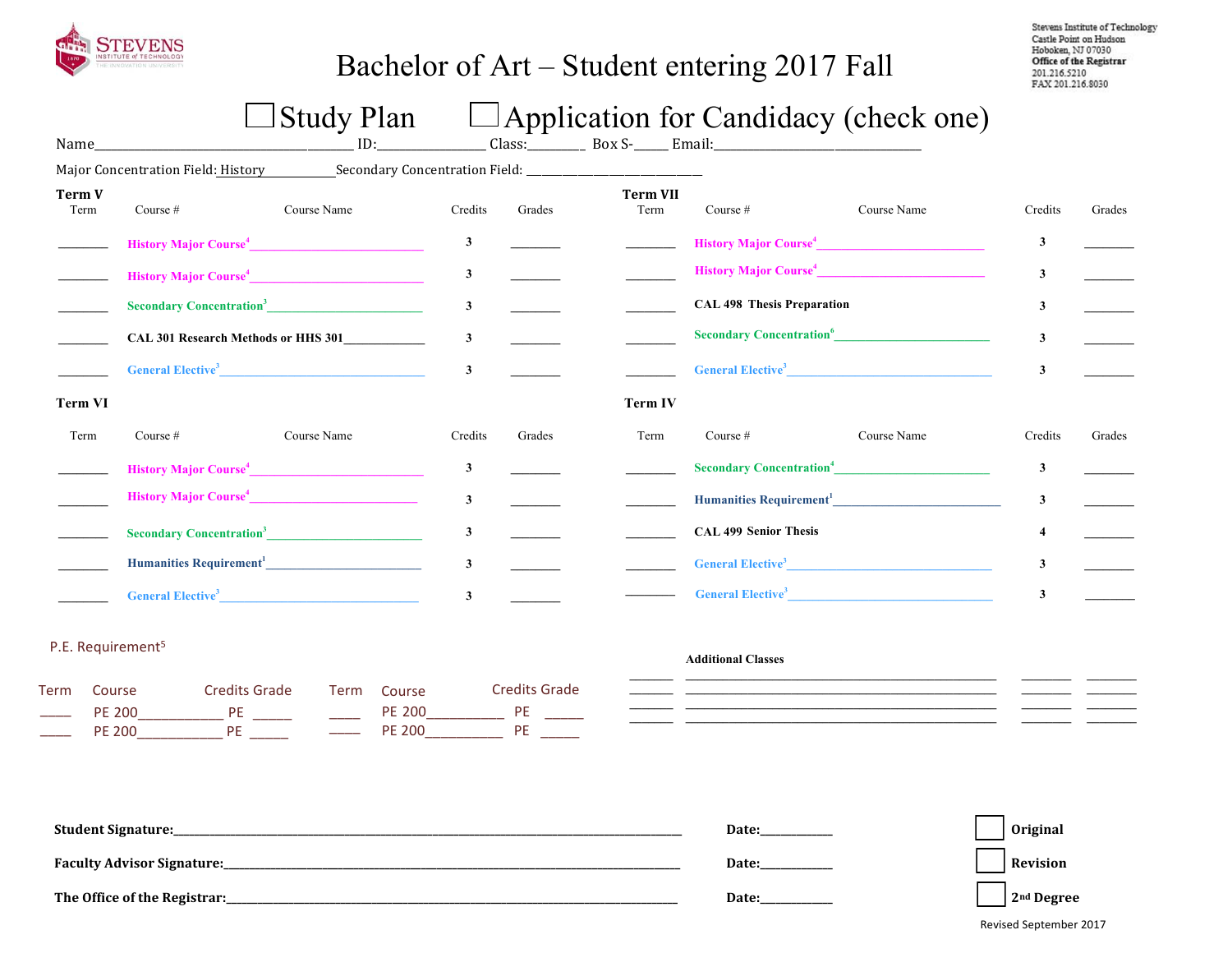

## Bachelor of Art – Student entering 2017 Fall

Stevens Institute of Technology Castle Point on Hudson Hoboken, NJ 07030 Office of the Registrar 201.216.5210 FAX 201.216.8030

# $\Box$  Study Plan  $\Box$  Application for Candidacy (check one)

|                | Major Concentration Field: History Secondary Concentration Field: ______________________ |                                                                                                                                                                                                                                         |              |        |                         |                                   |                                                                   |                         |        |
|----------------|------------------------------------------------------------------------------------------|-----------------------------------------------------------------------------------------------------------------------------------------------------------------------------------------------------------------------------------------|--------------|--------|-------------------------|-----------------------------------|-------------------------------------------------------------------|-------------------------|--------|
| Term V<br>Term | Course #                                                                                 | Course Name                                                                                                                                                                                                                             | Credits      | Grades | <b>Term VII</b><br>Term | Course #                          | Course Name                                                       | Credits                 | Grades |
|                |                                                                                          | <b>History Major Course<sup>4</sup></b> Philosophia Research 2014                                                                                                                                                                       | $\mathbf{3}$ |        |                         |                                   | History Major Course <sup>4</sup>                                 | 3                       |        |
|                |                                                                                          | <b>History Major Course<sup>4</sup></b>                                                                                                                                                                                                 | $\mathbf{3}$ |        |                         |                                   | <b>History Major Course<sup>4</sup></b>                           | $\mathbf{3}$            |        |
|                |                                                                                          | Secondary Concentration <sup>3</sup>                                                                                                                                                                                                    | $\mathbf{3}$ |        |                         | <b>CAL 498 Thesis Preparation</b> |                                                                   | 3                       |        |
|                |                                                                                          | CAL 301 Research Methods or HHS 301                                                                                                                                                                                                     | 3            |        |                         |                                   | Secondary Concentration <sup>6</sup> Property 2014 12:00 and 2014 | $\mathbf{3}$            |        |
|                |                                                                                          | <b>General Elective<sup>3</sup></b>                                                                                                                                                                                                     | $\mathbf{3}$ |        |                         |                                   | General Elective <sup>3</sup>                                     | $\overline{\mathbf{3}}$ |        |
| Term VI        |                                                                                          |                                                                                                                                                                                                                                         |              |        | <b>Term IV</b>          |                                   |                                                                   |                         |        |
| Term           | Course $#$                                                                               | Course Name                                                                                                                                                                                                                             | Credits      | Grades | Term                    | Course $#$                        | Course Name                                                       | Credits                 | Grades |
|                |                                                                                          | History Major Course <sup>4</sup>                                                                                                                                                                                                       | $\mathbf{3}$ |        |                         |                                   | Secondary Concentration <sup>4</sup>                              | 3                       |        |
|                |                                                                                          |                                                                                                                                                                                                                                         | $\mathbf{3}$ |        |                         |                                   | Humanities Requirement <sup>1</sup>                               | $\overline{\mathbf{3}}$ |        |
|                |                                                                                          | Secondary Concentration <sup>3</sup>                                                                                                                                                                                                    | 3            |        |                         | <b>CAL 499 Senior Thesis</b>      |                                                                   |                         |        |
|                |                                                                                          | Humanities Requirement <sup>1</sup> Property of the set of the set of the set of the set of the set of the set of the set of the set of the set of the set of the set of the set of the set of the set of the set of the set of the set | $\mathbf{3}$ |        |                         |                                   | General Elective <sup>3</sup>                                     | $\mathbf{3}$            |        |
|                | <b>General Elective</b> <sup>3</sup>                                                     |                                                                                                                                                                                                                                         | 3            |        |                         |                                   | General Elective <sup>3</sup>                                     | 3                       |        |

#### P.E. Requirement<sup>5</sup>

| Term | Course | Credits Grade | Term Course | Credits Grade |
|------|--------|---------------|-------------|---------------|
|      | PF 200 |               | PF 200      | РF            |
|      | PF 200 | DF            | PF 200      | D⊩            |

#### **Additional Classes**

| <b>Student Signature:</b>         | Date: | Original               |
|-----------------------------------|-------|------------------------|
| <b>Faculty Advisor Signature:</b> | Date: | Revision               |
| The Office of the Registrar:      | Date: | 2 <sup>nd</sup> Degree |

Revised September 2017